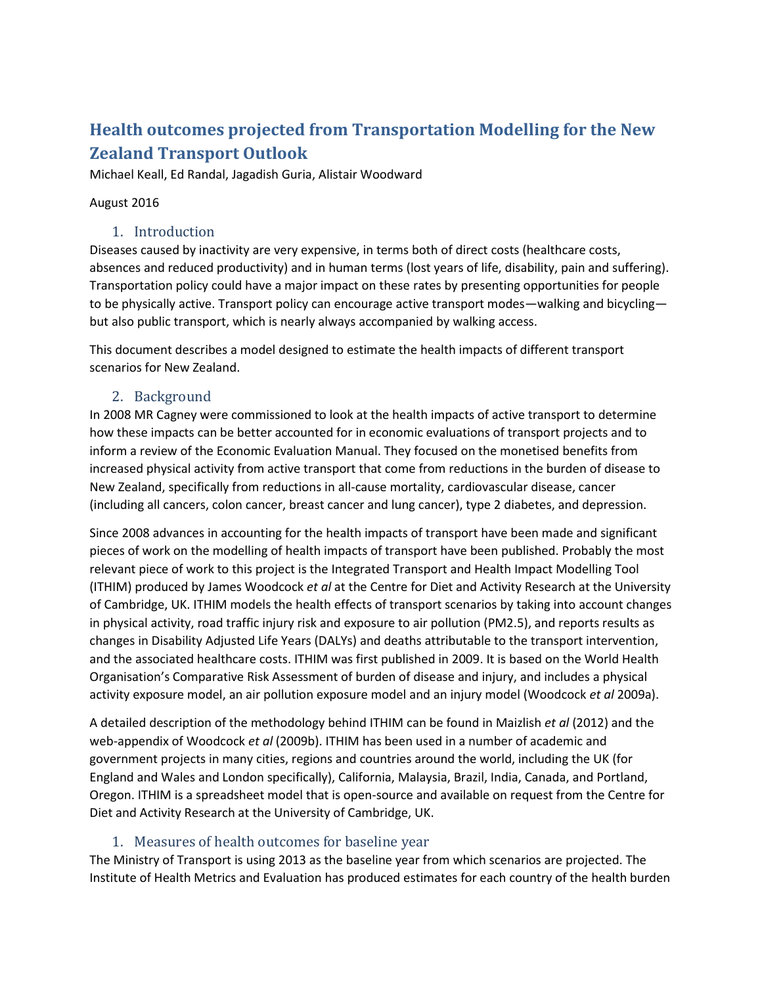# **Health outcomes projected from Transportation Modelling for the New Zealand Transport Outlook**

Michael Keall, Ed Randal, Jagadish Guria, Alistair Woodward

### August 2016

### 1. Introduction

Diseases caused by inactivity are very expensive, in terms both of direct costs (healthcare costs, absences and reduced productivity) and in human terms (lost years of life, disability, pain and suffering). Transportation policy could have a major impact on these rates by presenting opportunities for people to be physically active. Transport policy can encourage active transport modes—walking and bicycling but also public transport, which is nearly always accompanied by walking access.

This document describes a model designed to estimate the health impacts of different transport scenarios for New Zealand.

## 2. Background

In 2008 MR Cagney were commissioned to look at the health impacts of active transport to determine how these impacts can be better accounted for in economic evaluations of transport projects and to inform a review of the Economic Evaluation Manual. They focused on the monetised benefits from increased physical activity from active transport that come from reductions in the burden of disease to New Zealand, specifically from reductions in all-cause mortality, cardiovascular disease, cancer (including all cancers, colon cancer, breast cancer and lung cancer), type 2 diabetes, and depression.

Since 2008 advances in accounting for the health impacts of transport have been made and significant pieces of work on the modelling of health impacts of transport have been published. Probably the most relevant piece of work to this project is the Integrated Transport and Health Impact Modelling Tool (ITHIM) produced by James Woodcock *et al* at the Centre for Diet and Activity Research at the University of Cambridge, UK. ITHIM models the health effects of transport scenarios by taking into account changes in physical activity, road traffic injury risk and exposure to air pollution (PM2.5), and reports results as changes in Disability Adjusted Life Years (DALYs) and deaths attributable to the transport intervention, and the associated healthcare costs. ITHIM was first published in 2009. It is based on the World Health Organisation's Comparative Risk Assessment of burden of disease and injury, and includes a physical activity exposure model, an air pollution exposure model and an injury model (Woodcock *et al* 2009a).

A detailed description of the methodology behind ITHIM can be found in Maizlish *et al* (2012) and the web-appendix of Woodcock *et al* (2009b). ITHIM has been used in a number of academic and government projects in many cities, regions and countries around the world, including the UK (for England and Wales and London specifically), California, Malaysia, Brazil, India, Canada, and Portland, Oregon. ITHIM is a spreadsheet model that is open-source and available on request from the Centre for Diet and Activity Research at the University of Cambridge, UK.

## 1. Measures of health outcomes for baseline year

The Ministry of Transport is using 2013 as the baseline year from which scenarios are projected. The Institute of Health Metrics and Evaluation has produced estimates for each country of the health burden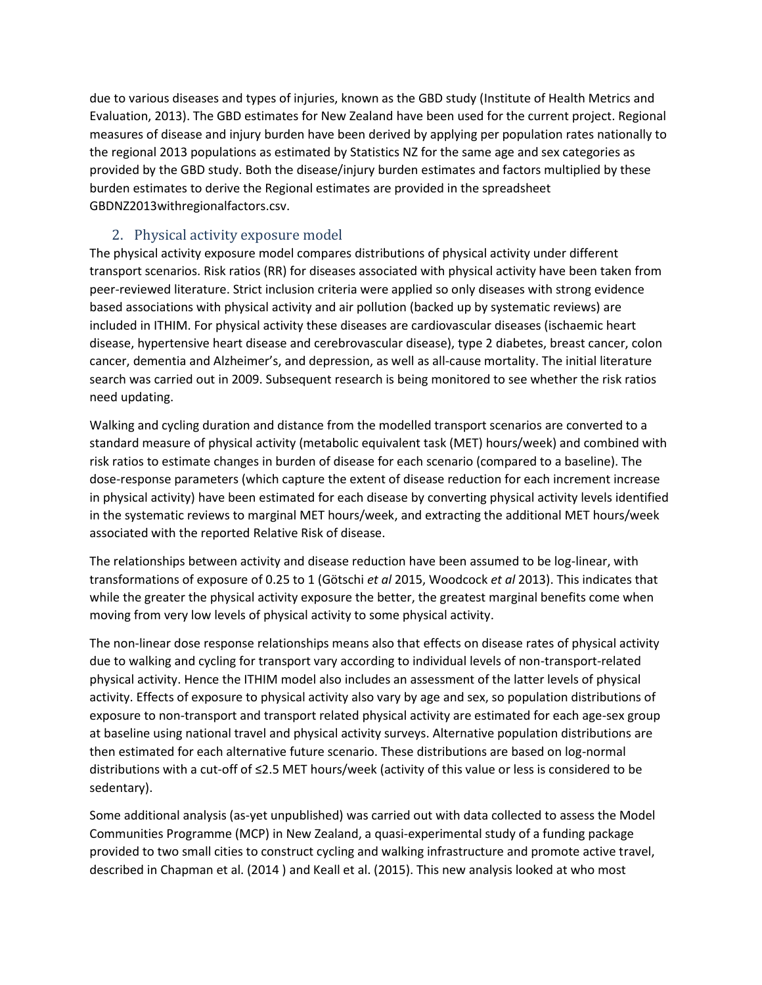due to various diseases and types of injuries, known as the GBD study (Institute of Health Metrics and Evaluation, 2013). The GBD estimates for New Zealand have been used for the current project. Regional measures of disease and injury burden have been derived by applying per population rates nationally to the regional 2013 populations as estimated by Statistics NZ for the same age and sex categories as provided by the GBD study. Both the disease/injury burden estimates and factors multiplied by these burden estimates to derive the Regional estimates are provided in the spreadsheet GBDNZ2013withregionalfactors.csv.

## 2. Physical activity exposure model

The physical activity exposure model compares distributions of physical activity under different transport scenarios. Risk ratios (RR) for diseases associated with physical activity have been taken from peer-reviewed literature. Strict inclusion criteria were applied so only diseases with strong evidence based associations with physical activity and air pollution (backed up by systematic reviews) are included in ITHIM. For physical activity these diseases are cardiovascular diseases (ischaemic heart disease, hypertensive heart disease and cerebrovascular disease), type 2 diabetes, breast cancer, colon cancer, dementia and Alzheimer's, and depression, as well as all-cause mortality. The initial literature search was carried out in 2009. Subsequent research is being monitored to see whether the risk ratios need updating.

Walking and cycling duration and distance from the modelled transport scenarios are converted to a standard measure of physical activity (metabolic equivalent task (MET) hours/week) and combined with risk ratios to estimate changes in burden of disease for each scenario (compared to a baseline). The dose-response parameters (which capture the extent of disease reduction for each increment increase in physical activity) have been estimated for each disease by converting physical activity levels identified in the systematic reviews to marginal MET hours/week, and extracting the additional MET hours/week associated with the reported Relative Risk of disease.

The relationships between activity and disease reduction have been assumed to be log-linear, with transformations of exposure of 0.25 to 1 (Götschi *et al* 2015, Woodcock *et al* 2013). This indicates that while the greater the physical activity exposure the better, the greatest marginal benefits come when moving from very low levels of physical activity to some physical activity.

The non-linear dose response relationships means also that effects on disease rates of physical activity due to walking and cycling for transport vary according to individual levels of non-transport-related physical activity. Hence the ITHIM model also includes an assessment of the latter levels of physical activity. Effects of exposure to physical activity also vary by age and sex, so population distributions of exposure to non-transport and transport related physical activity are estimated for each age-sex group at baseline using national travel and physical activity surveys. Alternative population distributions are then estimated for each alternative future scenario. These distributions are based on log-normal distributions with a cut-off of ≤2.5 MET hours/week (activity of this value or less is considered to be sedentary).

Some additional analysis (as-yet unpublished) was carried out with data collected to assess the Model Communities Programme (MCP) in New Zealand, a quasi-experimental study of a funding package provided to two small cities to construct cycling and walking infrastructure and promote active travel, described in Chapman et al. (2014 ) and Keall et al. (2015). This new analysis looked at who most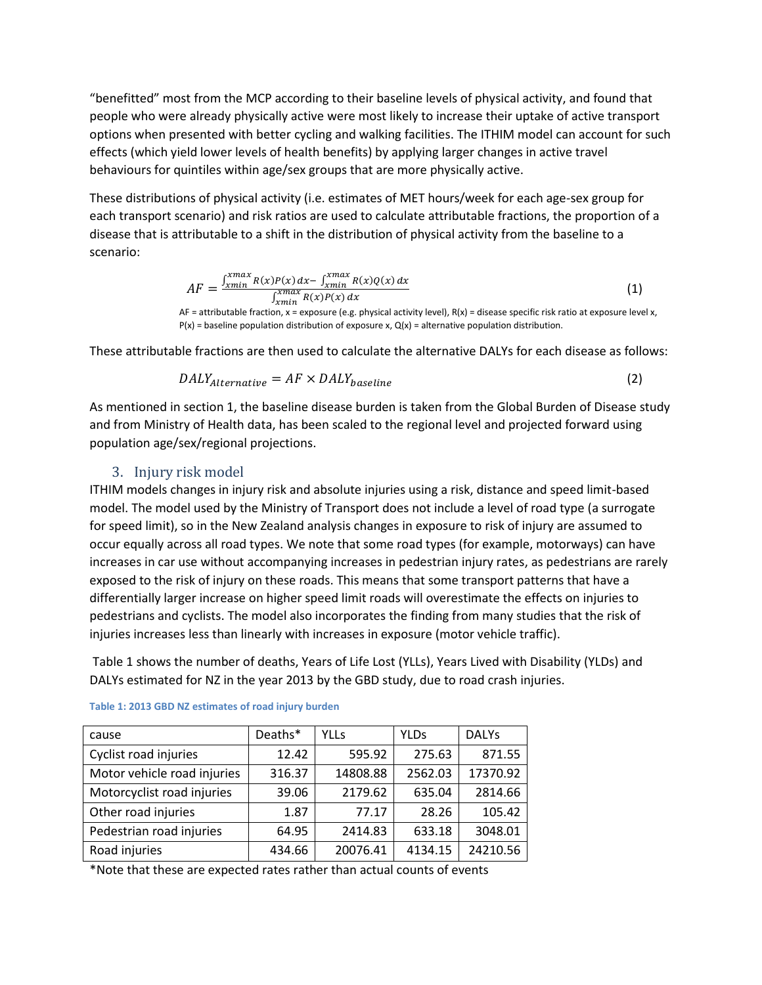"benefitted" most from the MCP according to their baseline levels of physical activity, and found that people who were already physically active were most likely to increase their uptake of active transport options when presented with better cycling and walking facilities. The ITHIM model can account for such effects (which yield lower levels of health benefits) by applying larger changes in active travel behaviours for quintiles within age/sex groups that are more physically active.

These distributions of physical activity (i.e. estimates of MET hours/week for each age-sex group for each transport scenario) and risk ratios are used to calculate attributable fractions, the proportion of a disease that is attributable to a shift in the distribution of physical activity from the baseline to a scenario:

$$
AF = \frac{\int_{xmin}^{xmax} R(x)P(x) dx - \int_{xmin}^{xmax} R(x)Q(x) dx}{\int_{xmin}^{xmax} R(x)P(x) dx}
$$
(1)

AF = attributable fraction, x = exposure (e.g. physical activity level), R(x) = disease specific risk ratio at exposure level x,  $P(x)$  = baseline population distribution of exposure x,  $Q(x)$  = alternative population distribution.

These attributable fractions are then used to calculate the alternative DALYs for each disease as follows:

$$
DALY_{Alternative} = AF \times DALY_{baseline}
$$
 (2)

As mentioned in section 1, the baseline disease burden is taken from the Global Burden of Disease study and from Ministry of Health data, has been scaled to the regional level and projected forward using population age/sex/regional projections.

### 3. Injury risk model

ITHIM models changes in injury risk and absolute injuries using a risk, distance and speed limit-based model. The model used by the Ministry of Transport does not include a level of road type (a surrogate for speed limit), so in the New Zealand analysis changes in exposure to risk of injury are assumed to occur equally across all road types. We note that some road types (for example, motorways) can have increases in car use without accompanying increases in pedestrian injury rates, as pedestrians are rarely exposed to the risk of injury on these roads. This means that some transport patterns that have a differentially larger increase on higher speed limit roads will overestimate the effects on injuries to pedestrians and cyclists. The model also incorporates the finding from many studies that the risk of injuries increases less than linearly with increases in exposure (motor vehicle traffic).

[Table 1](#page-2-0) shows the number of deaths, Years of Life Lost (YLLs), Years Lived with Disability (YLDs) and DALYs estimated for NZ in the year 2013 by the GBD study, due to road crash injuries.

| cause                       | Deaths* | <b>YLLs</b> | <b>YLDs</b> | <b>DALYs</b> |
|-----------------------------|---------|-------------|-------------|--------------|
| Cyclist road injuries       | 12.42   | 595.92      | 275.63      | 871.55       |
| Motor vehicle road injuries | 316.37  | 14808.88    | 2562.03     | 17370.92     |
| Motorcyclist road injuries  | 39.06   | 2179.62     | 635.04      | 2814.66      |
| Other road injuries         | 1.87    | 77.17       | 28.26       | 105.42       |
| Pedestrian road injuries    | 64.95   | 2414.83     | 633.18      | 3048.01      |
| Road injuries               | 434.66  | 20076.41    | 4134.15     | 24210.56     |

<span id="page-2-0"></span>

\*Note that these are expected rates rather than actual counts of events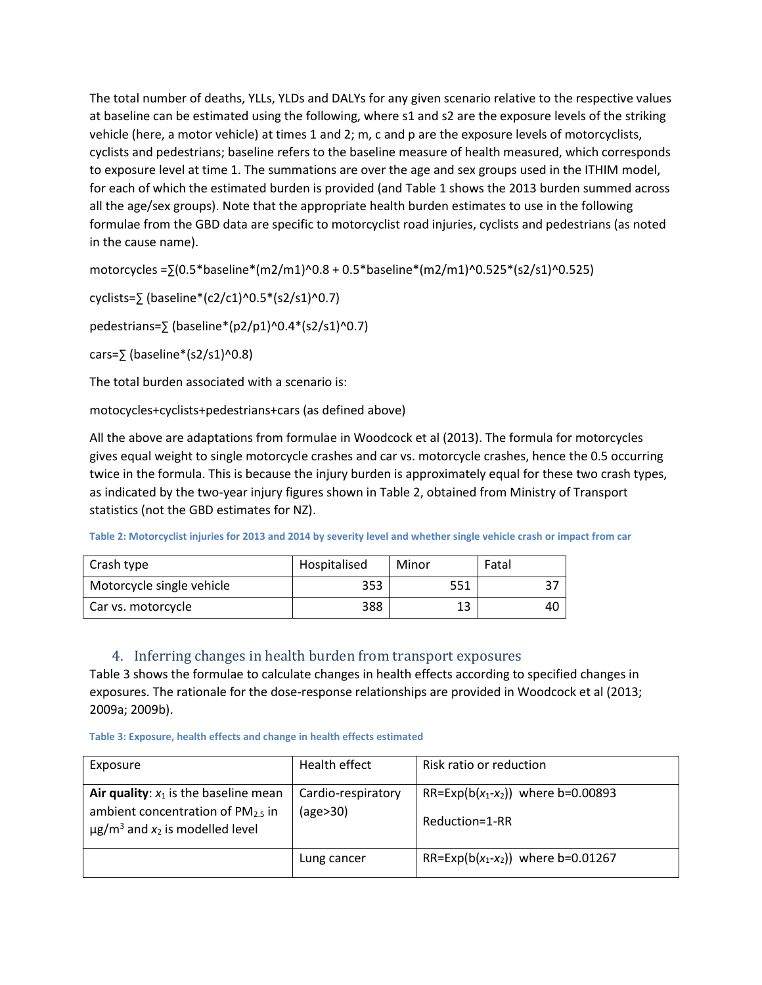The total number of deaths, YLLs, YLDs and DALYs for any given scenario relative to the respective values at baseline can be estimated using the following, where s1 and s2 are the exposure levels of the striking vehicle (here, a motor vehicle) at times 1 and 2; m, c and p are the exposure levels of motorcyclists, cyclists and pedestrians; baseline refers to the baseline measure of health measured, which corresponds to exposure level at time 1. The summations are over the age and sex groups used in the ITHIM model, for each of which the estimated burden is provided (and [Table 1](#page-2-0) shows the 2013 burden summed across all the age/sex groups). Note that the appropriate health burden estimates to use in the following formulae from the GBD data are specific to motorcyclist road injuries, cyclists and pedestrians (as noted in the cause name).

motorcycles =∑(0.5\*baseline\*(m2/m1)^0.8 + 0.5\*baseline\*(m2/m1)^0.525\*(s2/s1)^0.525)

cyclists=∑ (baseline\*(c2/c1)^0.5\*(s2/s1)^0.7)

pedestrians= $\frac{5}{2}$  (baseline\*(p2/p1)^0.4\*(s2/s1)^0.7)

cars= $\sqrt{5}$  (baseline\*(s2/s1)^0.8)

The total burden associated with a scenario is:

motocycles+cyclists+pedestrians+cars (as defined above)

All the above are adaptations from formulae in Woodcock et al (2013). The formula for motorcycles gives equal weight to single motorcycle crashes and car vs. motorcycle crashes, hence the 0.5 occurring twice in the formula. This is because the injury burden is approximately equal for these two crash types, as indicated by the two-year injury figures shown in [Table 2,](#page-3-0) obtained from Ministry of Transport statistics (not the GBD estimates for NZ).

<span id="page-3-0"></span>**Table 2: Motorcyclist injuries for 2013 and 2014 by severity level and whether single vehicle crash or impact from car**

| Crash type                | Hospitalised | Minor | Fatal |
|---------------------------|--------------|-------|-------|
| Motorcycle single vehicle | 353          | 551   |       |
| Car vs. motorcycle        | 388          | 13    | 40    |

### 4. Inferring changes in health burden from transport exposures

[Table 3](#page-3-1) shows the formulae to calculate changes in health effects according to specified changes in exposures. The rationale for the dose-response relationships are provided in Woodcock et al (2013; 2009a; 2009b).

<span id="page-3-1"></span>

| Exposure                                                                                                                                | Health effect                  | Risk ratio or reduction                                      |
|-----------------------------------------------------------------------------------------------------------------------------------------|--------------------------------|--------------------------------------------------------------|
| Air quality: $x_1$ is the baseline mean<br>ambient concentration of $PM_{2.5}$ in<br>$\mu$ g/m <sup>3</sup> and $x_2$ is modelled level | Cardio-respiratory<br>(age>30) | RR=Exp(b( $x_1$ - $x_2$ )) where b=0.00893<br>Reduction=1-RR |
|                                                                                                                                         | Lung cancer                    | RR=Exp(b( $x_1$ - $x_2$ )) where b=0.01267                   |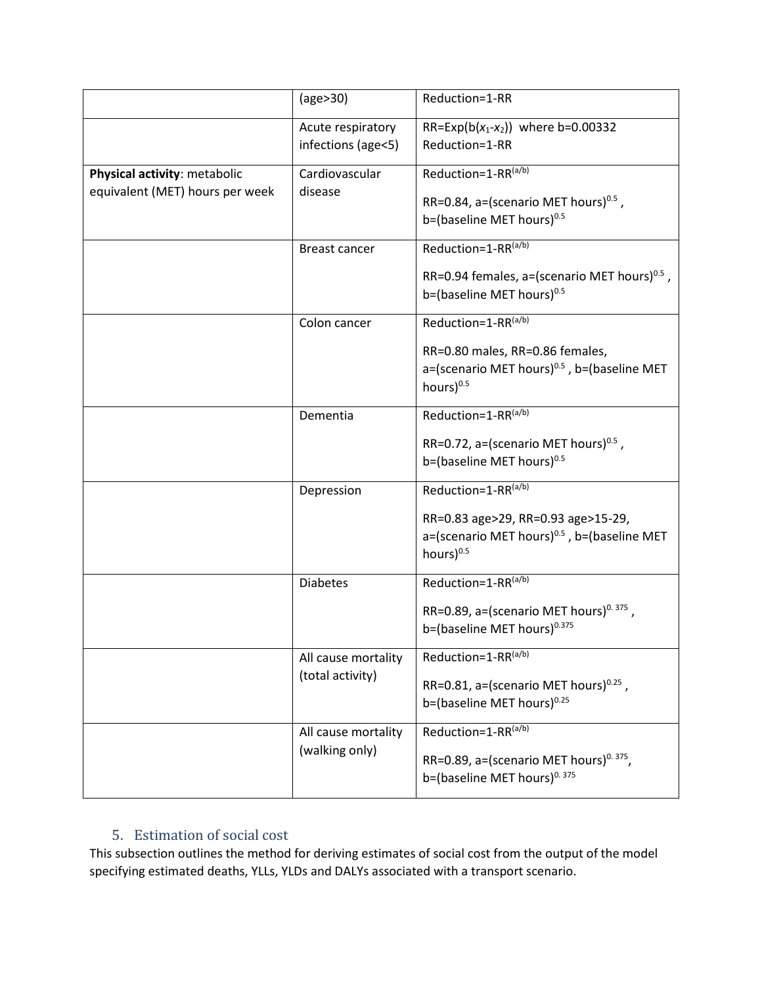|                                                | (age>30)                                | Reduction=1-RR                                                                                |
|------------------------------------------------|-----------------------------------------|-----------------------------------------------------------------------------------------------|
|                                                | Acute respiratory                       | RR=Exp(b( $x_1$ - $x_2$ )) where b=0.00332                                                    |
|                                                | infections (age<5)                      | Reduction=1-RR                                                                                |
| Cardiovascular<br>Physical activity: metabolic |                                         | Reduction=1-RR(a/b)                                                                           |
| equivalent (MET) hours per week                | disease                                 | RR=0.84, a=(scenario MET hours) <sup>0.5</sup> ,                                              |
|                                                |                                         | b=(baseline MET hours) <sup>0.5</sup>                                                         |
|                                                | <b>Breast cancer</b>                    | Reduction=1-RR(a/b)                                                                           |
|                                                |                                         | RR=0.94 females, a=(scenario MET hours) $^{0.5}$ ,                                            |
|                                                |                                         | b=(baseline MET hours) $^{0.5}$                                                               |
|                                                | Colon cancer                            | Reduction=1-RR(a/b)                                                                           |
|                                                |                                         | RR=0.80 males, RR=0.86 females,                                                               |
|                                                |                                         | a=(scenario MET hours) <sup>0.5</sup> , b=(baseline MET<br>hours) <sup>0.5</sup>              |
|                                                |                                         |                                                                                               |
|                                                | Dementia                                | Reduction=1-RR(a/b)                                                                           |
|                                                |                                         | RR=0.72, a=(scenario MET hours) $^{0.5}$ ,                                                    |
|                                                |                                         | b=(baseline MET hours) <sup>0.5</sup>                                                         |
|                                                | Depression                              | Reduction=1-RR(a/b)                                                                           |
|                                                |                                         | RR=0.83 age>29, RR=0.93 age>15-29,                                                            |
|                                                |                                         | a=(scenario MET hours) <sup>0.5</sup> , b=(baseline MET<br>hours) <sup>0.5</sup>              |
|                                                | <b>Diabetes</b>                         | Reduction=1-RR(a/b)                                                                           |
|                                                |                                         |                                                                                               |
|                                                |                                         | RR=0.89, a=(scenario MET hours) <sup>0.375</sup> ,<br>b=(baseline MET hours) <sup>0.375</sup> |
|                                                |                                         |                                                                                               |
|                                                | All cause mortality<br>(total activity) | Reduction=1-RR(a/b)                                                                           |
|                                                |                                         | RR=0.81, a=(scenario MET hours) $0.25$ ,                                                      |
|                                                |                                         | b=(baseline MET hours) $0.25$                                                                 |
|                                                | All cause mortality                     | Reduction=1-RR(a/b)                                                                           |
| (walking only)                                 |                                         | RR=0.89, a=(scenario MET hours) <sup>0.375</sup> ,                                            |
|                                                |                                         | b=(baseline MET hours) <sup>0.375</sup>                                                       |

## 5. Estimation of social cost

This subsection outlines the method for deriving estimates of social cost from the output of the model specifying estimated deaths, YLLs, YLDs and DALYs associated with a transport scenario.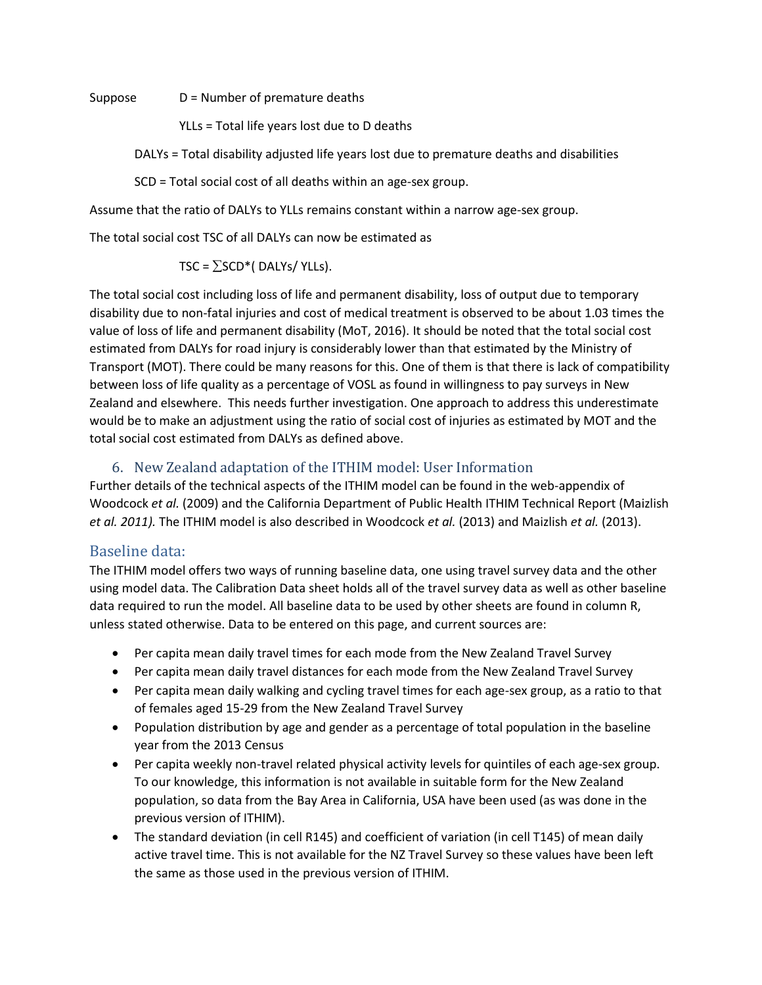Suppose D = Number of premature deaths

YLLs = Total life years lost due to D deaths

DALYs = Total disability adjusted life years lost due to premature deaths and disabilities

SCD = Total social cost of all deaths within an age-sex group.

Assume that the ratio of DALYs to YLLs remains constant within a narrow age-sex group.

The total social cost TSC of all DALYs can now be estimated as

TSC =  $\Sigma$ SCD\*( DALYs/ YLLs).

The total social cost including loss of life and permanent disability, loss of output due to temporary disability due to non-fatal injuries and cost of medical treatment is observed to be about 1.03 times the value of loss of life and permanent disability (MoT, 2016). It should be noted that the total social cost estimated from DALYs for road injury is considerably lower than that estimated by the Ministry of Transport (MOT). There could be many reasons for this. One of them is that there is lack of compatibility between loss of life quality as a percentage of VOSL as found in willingness to pay surveys in New Zealand and elsewhere. This needs further investigation. One approach to address this underestimate would be to make an adjustment using the ratio of social cost of injuries as estimated by MOT and the total social cost estimated from DALYs as defined above.

## 6. New Zealand adaptation of the ITHIM model: User Information

Further details of the technical aspects of the ITHIM model can be found in the web-appendix of Woodcock *et al.* (2009) and the California Department of Public Health ITHIM Technical Report (Maizlish *et al. 2011).* The ITHIM model is also described in Woodcock *et al.* (2013) and Maizlish *et al.* (2013).

## Baseline data:

The ITHIM model offers two ways of running baseline data, one using travel survey data and the other using model data. The Calibration Data sheet holds all of the travel survey data as well as other baseline data required to run the model. All baseline data to be used by other sheets are found in column R, unless stated otherwise. Data to be entered on this page, and current sources are:

- Per capita mean daily travel times for each mode from the New Zealand Travel Survey
- Per capita mean daily travel distances for each mode from the New Zealand Travel Survey
- Per capita mean daily walking and cycling travel times for each age-sex group, as a ratio to that of females aged 15-29 from the New Zealand Travel Survey
- Population distribution by age and gender as a percentage of total population in the baseline year from the 2013 Census
- Per capita weekly non-travel related physical activity levels for quintiles of each age-sex group. To our knowledge, this information is not available in suitable form for the New Zealand population, so data from the Bay Area in California, USA have been used (as was done in the previous version of ITHIM).
- The standard deviation (in cell R145) and coefficient of variation (in cell T145) of mean daily active travel time. This is not available for the NZ Travel Survey so these values have been left the same as those used in the previous version of ITHIM.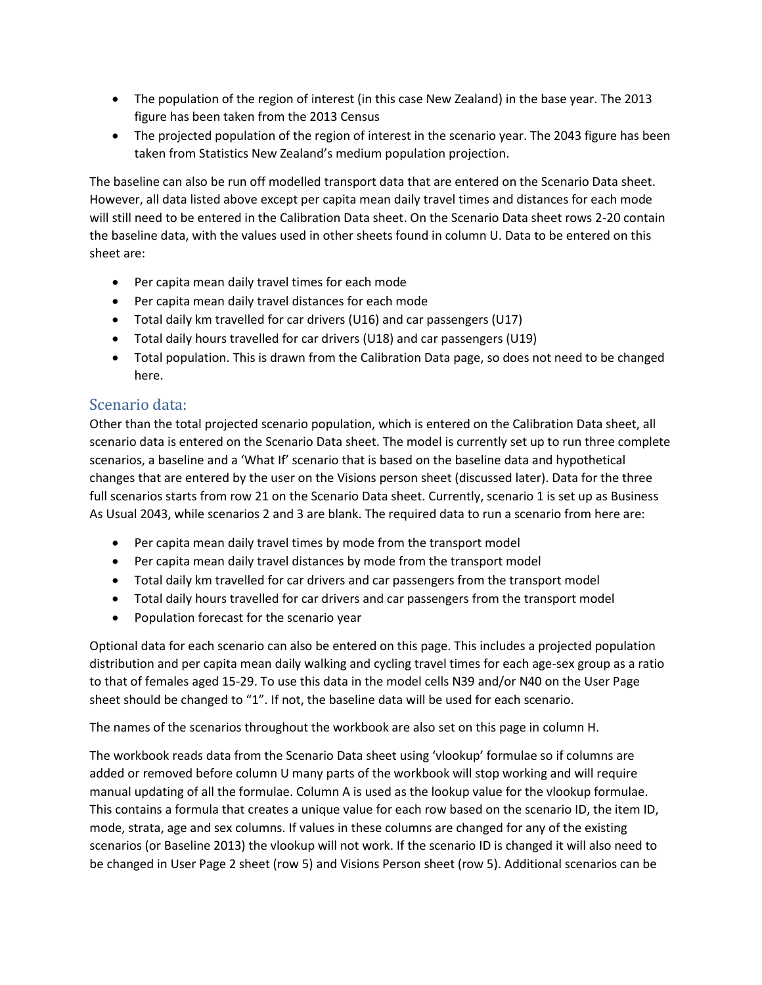- The population of the region of interest (in this case New Zealand) in the base year. The 2013 figure has been taken from the 2013 Census
- The projected population of the region of interest in the scenario year. The 2043 figure has been taken from Statistics New Zealand's medium population projection.

The baseline can also be run off modelled transport data that are entered on the Scenario Data sheet. However, all data listed above except per capita mean daily travel times and distances for each mode will still need to be entered in the Calibration Data sheet. On the Scenario Data sheet rows 2-20 contain the baseline data, with the values used in other sheets found in column U. Data to be entered on this sheet are:

- Per capita mean daily travel times for each mode
- Per capita mean daily travel distances for each mode
- Total daily km travelled for car drivers (U16) and car passengers (U17)
- Total daily hours travelled for car drivers (U18) and car passengers (U19)
- Total population. This is drawn from the Calibration Data page, so does not need to be changed here.

## Scenario data:

Other than the total projected scenario population, which is entered on the Calibration Data sheet, all scenario data is entered on the Scenario Data sheet. The model is currently set up to run three complete scenarios, a baseline and a 'What If' scenario that is based on the baseline data and hypothetical changes that are entered by the user on the Visions person sheet (discussed later). Data for the three full scenarios starts from row 21 on the Scenario Data sheet. Currently, scenario 1 is set up as Business As Usual 2043, while scenarios 2 and 3 are blank. The required data to run a scenario from here are:

- Per capita mean daily travel times by mode from the transport model
- Per capita mean daily travel distances by mode from the transport model
- Total daily km travelled for car drivers and car passengers from the transport model
- Total daily hours travelled for car drivers and car passengers from the transport model
- Population forecast for the scenario year

Optional data for each scenario can also be entered on this page. This includes a projected population distribution and per capita mean daily walking and cycling travel times for each age-sex group as a ratio to that of females aged 15-29. To use this data in the model cells N39 and/or N40 on the User Page sheet should be changed to "1". If not, the baseline data will be used for each scenario.

The names of the scenarios throughout the workbook are also set on this page in column H.

The workbook reads data from the Scenario Data sheet using 'vlookup' formulae so if columns are added or removed before column U many parts of the workbook will stop working and will require manual updating of all the formulae. Column A is used as the lookup value for the vlookup formulae. This contains a formula that creates a unique value for each row based on the scenario ID, the item ID, mode, strata, age and sex columns. If values in these columns are changed for any of the existing scenarios (or Baseline 2013) the vlookup will not work. If the scenario ID is changed it will also need to be changed in User Page 2 sheet (row 5) and Visions Person sheet (row 5). Additional scenarios can be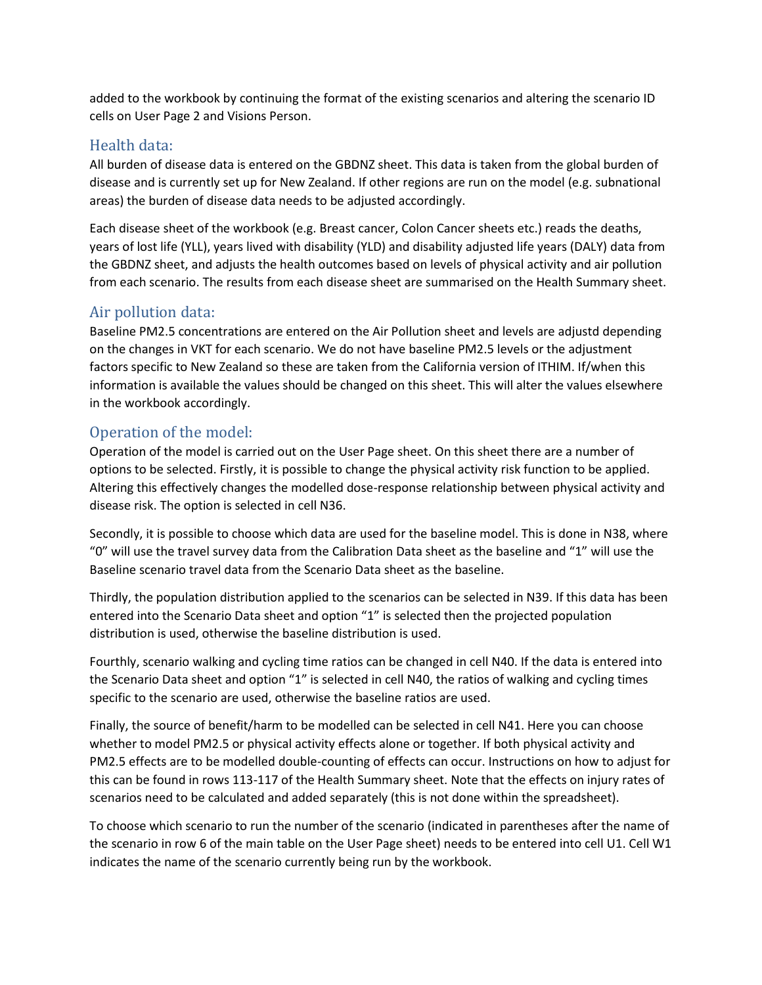added to the workbook by continuing the format of the existing scenarios and altering the scenario ID cells on User Page 2 and Visions Person.

## Health data:

All burden of disease data is entered on the GBDNZ sheet. This data is taken from the global burden of disease and is currently set up for New Zealand. If other regions are run on the model (e.g. subnational areas) the burden of disease data needs to be adjusted accordingly.

Each disease sheet of the workbook (e.g. Breast cancer, Colon Cancer sheets etc.) reads the deaths, years of lost life (YLL), years lived with disability (YLD) and disability adjusted life years (DALY) data from the GBDNZ sheet, and adjusts the health outcomes based on levels of physical activity and air pollution from each scenario. The results from each disease sheet are summarised on the Health Summary sheet.

## Air pollution data:

Baseline PM2.5 concentrations are entered on the Air Pollution sheet and levels are adjustd depending on the changes in VKT for each scenario. We do not have baseline PM2.5 levels or the adjustment factors specific to New Zealand so these are taken from the California version of ITHIM. If/when this information is available the values should be changed on this sheet. This will alter the values elsewhere in the workbook accordingly.

## Operation of the model:

Operation of the model is carried out on the User Page sheet. On this sheet there are a number of options to be selected. Firstly, it is possible to change the physical activity risk function to be applied. Altering this effectively changes the modelled dose-response relationship between physical activity and disease risk. The option is selected in cell N36.

Secondly, it is possible to choose which data are used for the baseline model. This is done in N38, where "0" will use the travel survey data from the Calibration Data sheet as the baseline and "1" will use the Baseline scenario travel data from the Scenario Data sheet as the baseline.

Thirdly, the population distribution applied to the scenarios can be selected in N39. If this data has been entered into the Scenario Data sheet and option "1" is selected then the projected population distribution is used, otherwise the baseline distribution is used.

Fourthly, scenario walking and cycling time ratios can be changed in cell N40. If the data is entered into the Scenario Data sheet and option "1" is selected in cell N40, the ratios of walking and cycling times specific to the scenario are used, otherwise the baseline ratios are used.

Finally, the source of benefit/harm to be modelled can be selected in cell N41. Here you can choose whether to model PM2.5 or physical activity effects alone or together. If both physical activity and PM2.5 effects are to be modelled double-counting of effects can occur. Instructions on how to adjust for this can be found in rows 113-117 of the Health Summary sheet. Note that the effects on injury rates of scenarios need to be calculated and added separately (this is not done within the spreadsheet).

To choose which scenario to run the number of the scenario (indicated in parentheses after the name of the scenario in row 6 of the main table on the User Page sheet) needs to be entered into cell U1. Cell W1 indicates the name of the scenario currently being run by the workbook.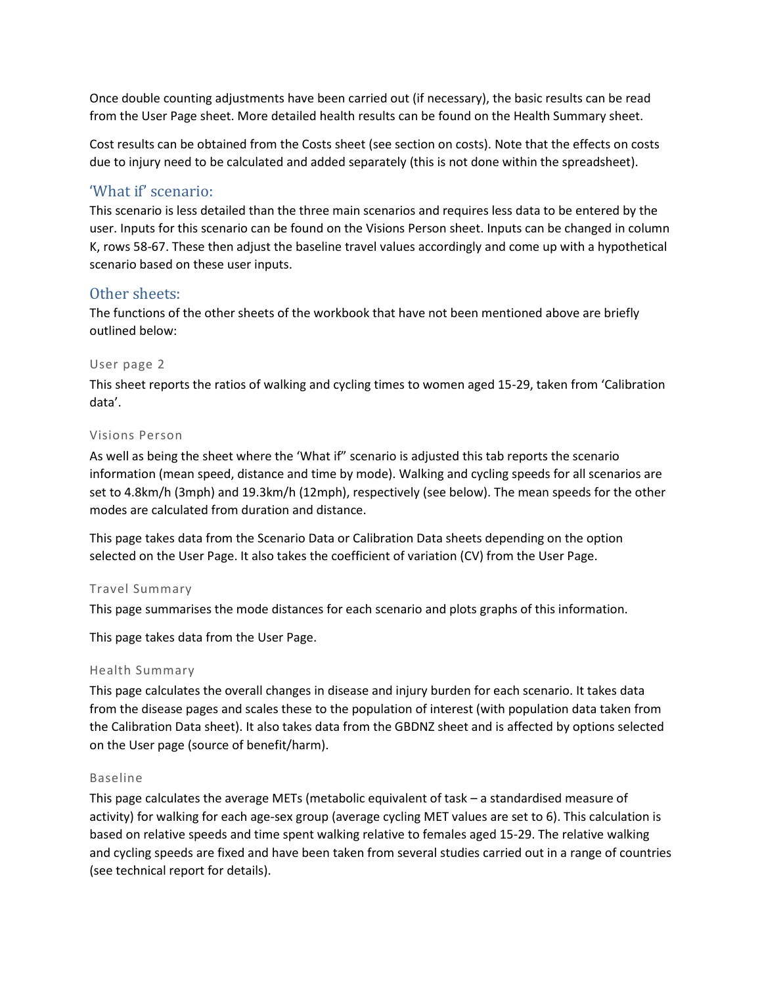Once double counting adjustments have been carried out (if necessary), the basic results can be read from the User Page sheet. More detailed health results can be found on the Health Summary sheet.

Cost results can be obtained from the Costs sheet (see section on costs). Note that the effects on costs due to injury need to be calculated and added separately (this is not done within the spreadsheet).

### 'What if' scenario:

This scenario is less detailed than the three main scenarios and requires less data to be entered by the user. Inputs for this scenario can be found on the Visions Person sheet. Inputs can be changed in column K, rows 58-67. These then adjust the baseline travel values accordingly and come up with a hypothetical scenario based on these user inputs.

### Other sheets:

The functions of the other sheets of the workbook that have not been mentioned above are briefly outlined below:

#### User page 2

This sheet reports the ratios of walking and cycling times to women aged 15-29, taken from 'Calibration data'.

#### Visions Person

As well as being the sheet where the 'What if" scenario is adjusted this tab reports the scenario information (mean speed, distance and time by mode). Walking and cycling speeds for all scenarios are set to 4.8km/h (3mph) and 19.3km/h (12mph), respectively (see below). The mean speeds for the other modes are calculated from duration and distance.

This page takes data from the Scenario Data or Calibration Data sheets depending on the option selected on the User Page. It also takes the coefficient of variation (CV) from the User Page.

### Travel Summary

This page summarises the mode distances for each scenario and plots graphs of this information.

This page takes data from the User Page.

#### Health Summary

This page calculates the overall changes in disease and injury burden for each scenario. It takes data from the disease pages and scales these to the population of interest (with population data taken from the Calibration Data sheet). It also takes data from the GBDNZ sheet and is affected by options selected on the User page (source of benefit/harm).

#### Baseline

This page calculates the average METs (metabolic equivalent of task – a standardised measure of activity) for walking for each age-sex group (average cycling MET values are set to 6). This calculation is based on relative speeds and time spent walking relative to females aged 15-29. The relative walking and cycling speeds are fixed and have been taken from several studies carried out in a range of countries (see technical report for details).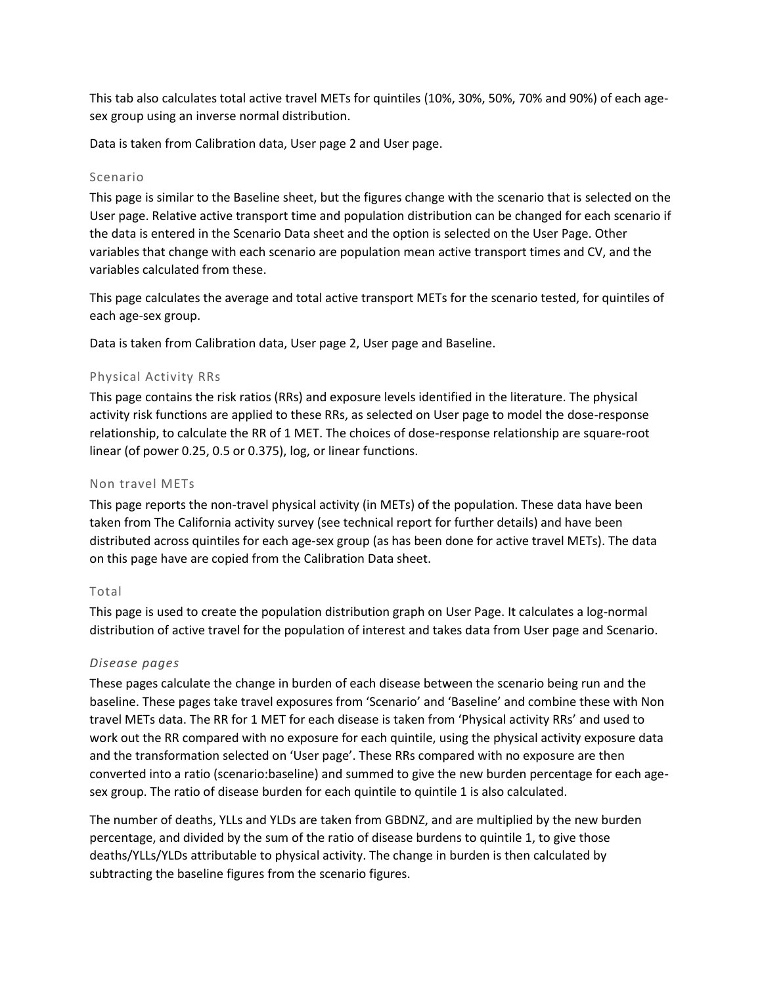This tab also calculates total active travel METs for quintiles (10%, 30%, 50%, 70% and 90%) of each agesex group using an inverse normal distribution.

Data is taken from Calibration data, User page 2 and User page.

#### Scenario

This page is similar to the Baseline sheet, but the figures change with the scenario that is selected on the User page. Relative active transport time and population distribution can be changed for each scenario if the data is entered in the Scenario Data sheet and the option is selected on the User Page. Other variables that change with each scenario are population mean active transport times and CV, and the variables calculated from these.

This page calculates the average and total active transport METs for the scenario tested, for quintiles of each age-sex group.

Data is taken from Calibration data, User page 2, User page and Baseline.

### Physical Activity RRs

This page contains the risk ratios (RRs) and exposure levels identified in the literature. The physical activity risk functions are applied to these RRs, as selected on User page to model the dose-response relationship, to calculate the RR of 1 MET. The choices of dose-response relationship are square-root linear (of power 0.25, 0.5 or 0.375), log, or linear functions.

#### Non travel METs

This page reports the non-travel physical activity (in METs) of the population. These data have been taken from The California activity survey (see technical report for further details) and have been distributed across quintiles for each age-sex group (as has been done for active travel METs). The data on this page have are copied from the Calibration Data sheet.

### Total

This page is used to create the population distribution graph on User Page. It calculates a log-normal distribution of active travel for the population of interest and takes data from User page and Scenario.

### *Disease pages*

These pages calculate the change in burden of each disease between the scenario being run and the baseline. These pages take travel exposures from 'Scenario' and 'Baseline' and combine these with Non travel METs data. The RR for 1 MET for each disease is taken from 'Physical activity RRs' and used to work out the RR compared with no exposure for each quintile, using the physical activity exposure data and the transformation selected on 'User page'. These RRs compared with no exposure are then converted into a ratio (scenario:baseline) and summed to give the new burden percentage for each agesex group. The ratio of disease burden for each quintile to quintile 1 is also calculated.

The number of deaths, YLLs and YLDs are taken from GBDNZ, and are multiplied by the new burden percentage, and divided by the sum of the ratio of disease burdens to quintile 1, to give those deaths/YLLs/YLDs attributable to physical activity. The change in burden is then calculated by subtracting the baseline figures from the scenario figures.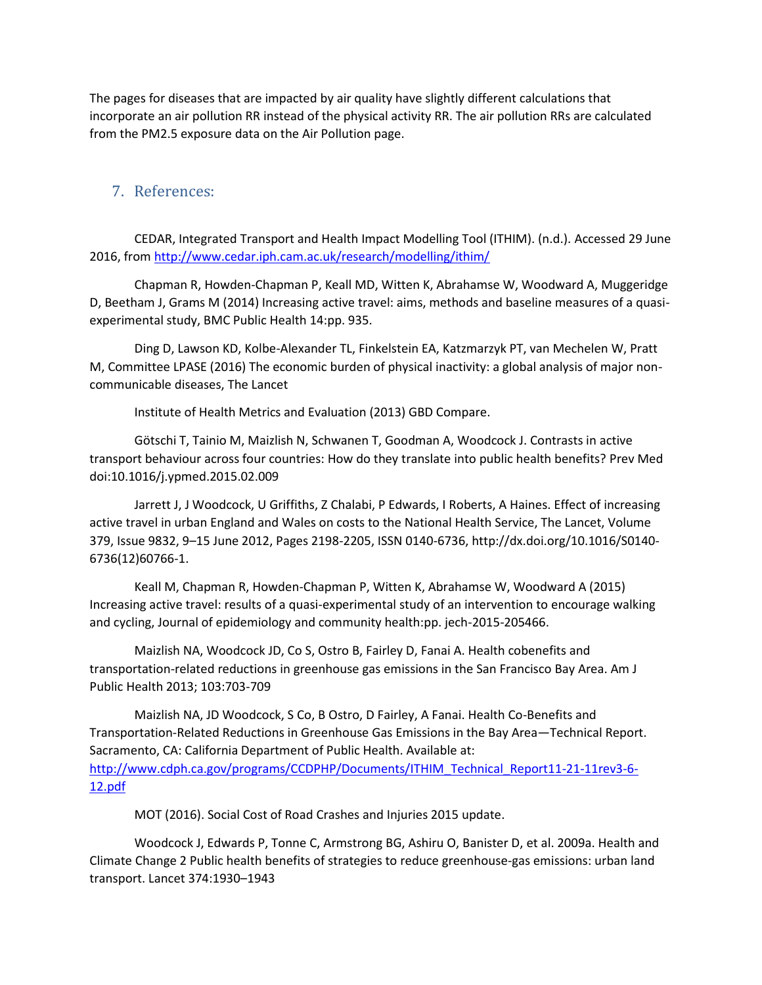The pages for diseases that are impacted by air quality have slightly different calculations that incorporate an air pollution RR instead of the physical activity RR. The air pollution RRs are calculated from the PM2.5 exposure data on the Air Pollution page.

## 7. References:

CEDAR, Integrated Transport and Health Impact Modelling Tool (ITHIM). (n.d.). Accessed 29 June 2016, from<http://www.cedar.iph.cam.ac.uk/research/modelling/ithim/>

Chapman R, Howden-Chapman P, Keall MD, Witten K, Abrahamse W, Woodward A, Muggeridge D, Beetham J, Grams M (2014) Increasing active travel: aims, methods and baseline measures of a quasiexperimental study, BMC Public Health 14:pp. 935.

Ding D, Lawson KD, Kolbe-Alexander TL, Finkelstein EA, Katzmarzyk PT, van Mechelen W, Pratt M, Committee LPASE (2016) The economic burden of physical inactivity: a global analysis of major noncommunicable diseases, The Lancet

Institute of Health Metrics and Evaluation (2013) GBD Compare.

Götschi T, Tainio M, Maizlish N, Schwanen T, Goodman A, Woodcock J. Contrasts in active transport behaviour across four countries: How do they translate into public health benefits? Prev Med doi:10.1016/j.ypmed.2015.02.009

Jarrett J, J Woodcock, U Griffiths, Z Chalabi, P Edwards, I Roberts, A Haines. Effect of increasing active travel in urban England and Wales on costs to the National Health Service, The Lancet, Volume 379, Issue 9832, 9–15 June 2012, Pages 2198-2205, ISSN 0140-6736, [http://dx.doi.org/10.1016/S0140-](http://dx.doi.org/10.1016/S0140-6736(12)60766-1) [6736\(12\)60766-1.](http://dx.doi.org/10.1016/S0140-6736(12)60766-1)

Keall M, Chapman R, Howden-Chapman P, Witten K, Abrahamse W, Woodward A (2015) Increasing active travel: results of a quasi-experimental study of an intervention to encourage walking and cycling, Journal of epidemiology and community health:pp. jech-2015-205466.

Maizlish NA, Woodcock JD, Co S, Ostro B, Fairley D, Fanai A. Health cobenefits and transportation-related reductions in greenhouse gas emissions in the San Francisco Bay Area. Am J Public Health 2013; 103:703-709

Maizlish NA, JD Woodcock, S Co, B Ostro, D Fairley, A Fanai. Health Co-Benefits and Transportation-Related Reductions in Greenhouse Gas Emissions in the Bay Area—Technical Report. Sacramento, CA: California Department of Public Health. Available at: [http://www.cdph.ca.gov/programs/CCDPHP/Documents/ITHIM\\_Technical\\_Report11-21-11rev3-6-](http://www.cdph.ca.gov/programs/CCDPHP/Documents/ITHIM_Technical_Report11-21-11rev3-6-12.pdf) [12.pdf](http://www.cdph.ca.gov/programs/CCDPHP/Documents/ITHIM_Technical_Report11-21-11rev3-6-12.pdf)

MOT (2016). Social Cost of Road Crashes and Injuries 2015 update.

Woodcock J, Edwards P, Tonne C, Armstrong BG, Ashiru O, Banister D, et al. 2009a. Health and Climate Change 2 Public health benefits of strategies to reduce greenhouse-gas emissions: urban land transport. Lancet 374:1930–1943